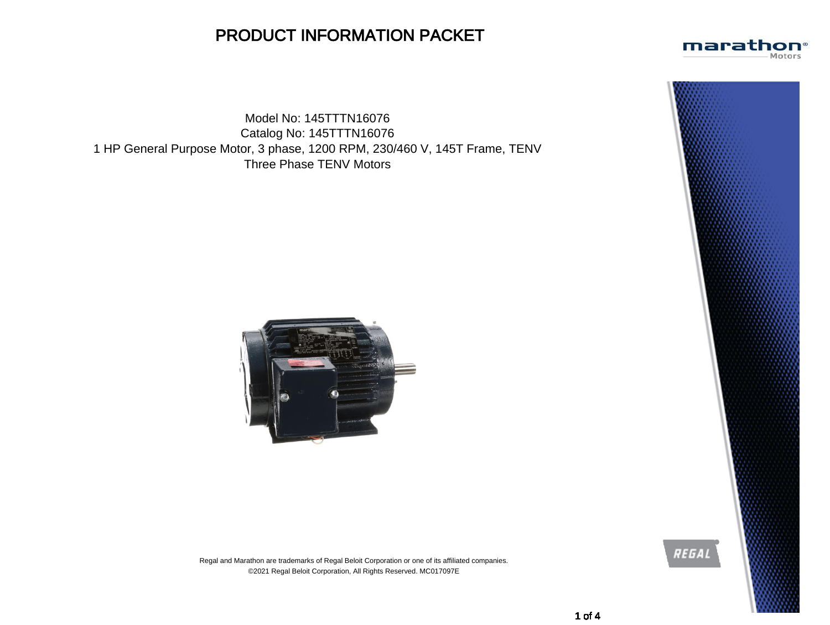## PRODUCT INFORMATION PACKET

Model No: 145TTTN16076 Catalog No: 145TTTN16076 1 HP General Purpose Motor, 3 phase, 1200 RPM, 230/460 V, 145T Frame, TENV Three Phase TENV Motors





Regal and Marathon are trademarks of Regal Beloit Corporation or one of its affiliated companies. ©2021 Regal Beloit Corporation, All Rights Reserved. MC017097E



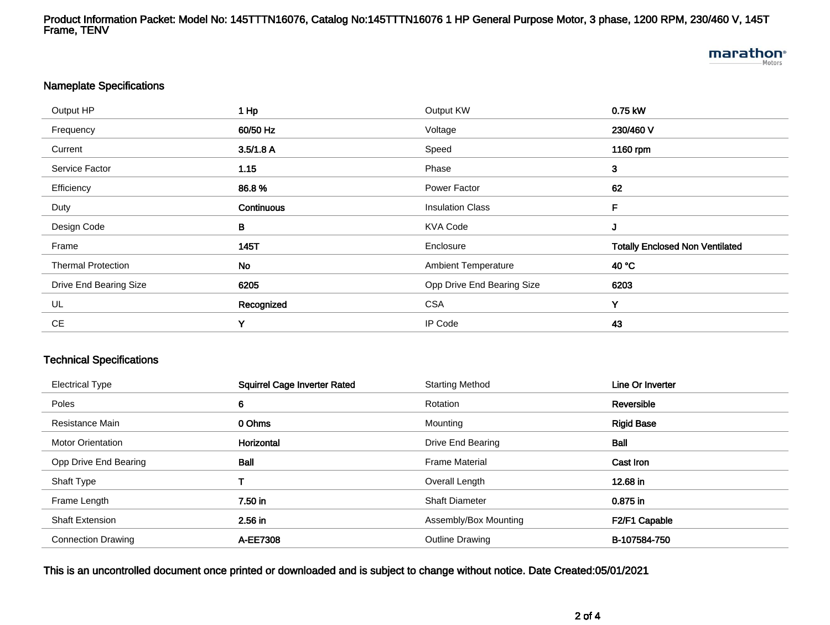Product Information Packet: Model No: 145TTTN16076, Catalog No:145TTTN16076 1 HP General Purpose Motor, 3 phase, 1200 RPM, 230/460 V, 145T Frame, TENV

# **marathon**®

#### Nameplate Specifications

| Output HP                 | $1$ Hp     | Output KW                  | 0.75 kW                                |
|---------------------------|------------|----------------------------|----------------------------------------|
| Frequency                 | 60/50 Hz   | Voltage                    | 230/460 V                              |
| Current                   | 3.5/1.8 A  | Speed                      | 1160 rpm                               |
| Service Factor            | 1.15       | Phase                      | $\mathbf{3}$                           |
| Efficiency                | 86.8%      | Power Factor               | 62                                     |
| Duty                      | Continuous | <b>Insulation Class</b>    | F                                      |
| Design Code               | В          | <b>KVA Code</b>            | J                                      |
| Frame                     | 145T       | Enclosure                  | <b>Totally Enclosed Non Ventilated</b> |
| <b>Thermal Protection</b> | <b>No</b>  | <b>Ambient Temperature</b> | 40 °C                                  |
| Drive End Bearing Size    | 6205       | Opp Drive End Bearing Size | 6203                                   |
| UL                        | Recognized | <b>CSA</b>                 | Υ                                      |
| <b>CE</b>                 | Y          | IP Code                    | 43                                     |

#### Technical Specifications

| <b>Electrical Type</b>    | <b>Squirrel Cage Inverter Rated</b> | <b>Starting Method</b> | Line Or Inverter  |
|---------------------------|-------------------------------------|------------------------|-------------------|
| Poles                     | 6                                   | Rotation               | Reversible        |
| Resistance Main           | 0 Ohms                              | Mounting               | <b>Rigid Base</b> |
| <b>Motor Orientation</b>  | Horizontal                          | Drive End Bearing      | Ball              |
| Opp Drive End Bearing     | <b>Ball</b>                         | <b>Frame Material</b>  | Cast Iron         |
| Shaft Type                |                                     | Overall Length         | 12.68 in          |
| Frame Length              | 7.50 in                             | <b>Shaft Diameter</b>  | 0.875 in          |
| <b>Shaft Extension</b>    | 2.56 in                             | Assembly/Box Mounting  | F2/F1 Capable     |
| <b>Connection Drawing</b> | A-EE7308                            | <b>Outline Drawing</b> | B-107584-750      |

#### This is an uncontrolled document once printed or downloaded and is subject to change without notice. Date Created:05/01/2021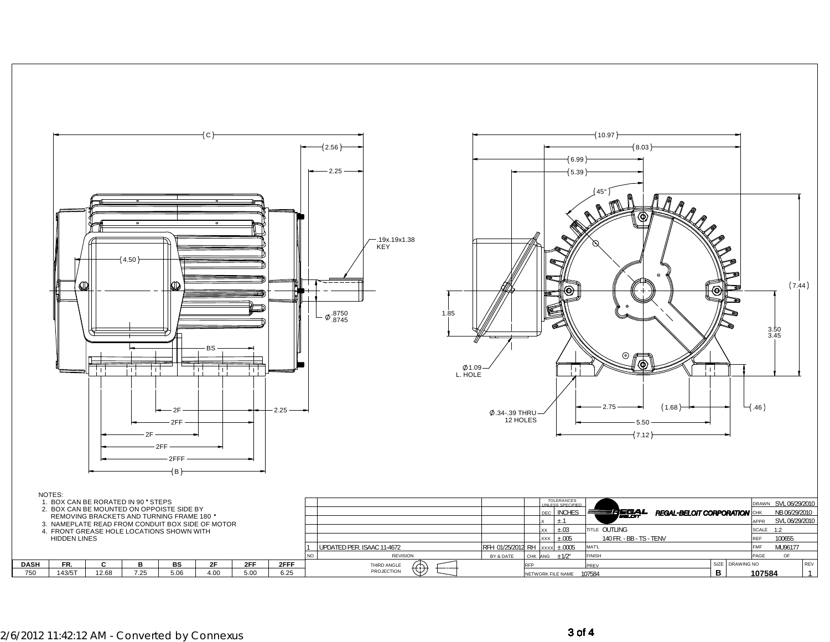

### $2/6/2012$  11:42:12 AM - Converted by Connexus  $3$  of 4